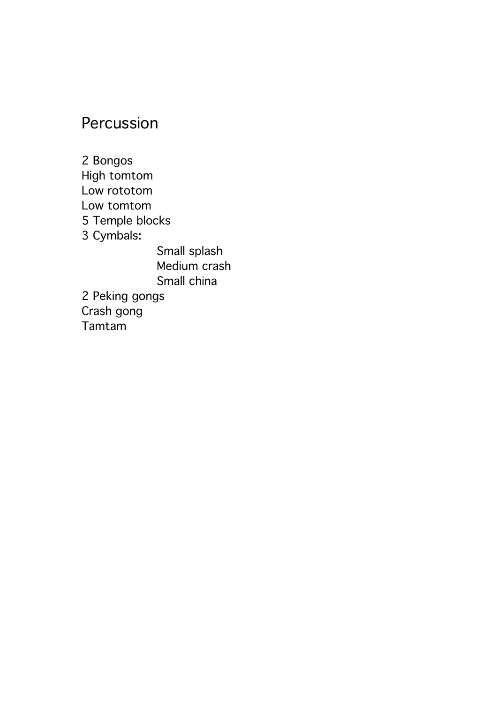## Percussion

2 Bongos High tomtom Low rototom Low tomtom 5 Temple blocks 3 Cymbals: Small splash Medium crash Small china 2 Peking gongs Crash gong Tamtam